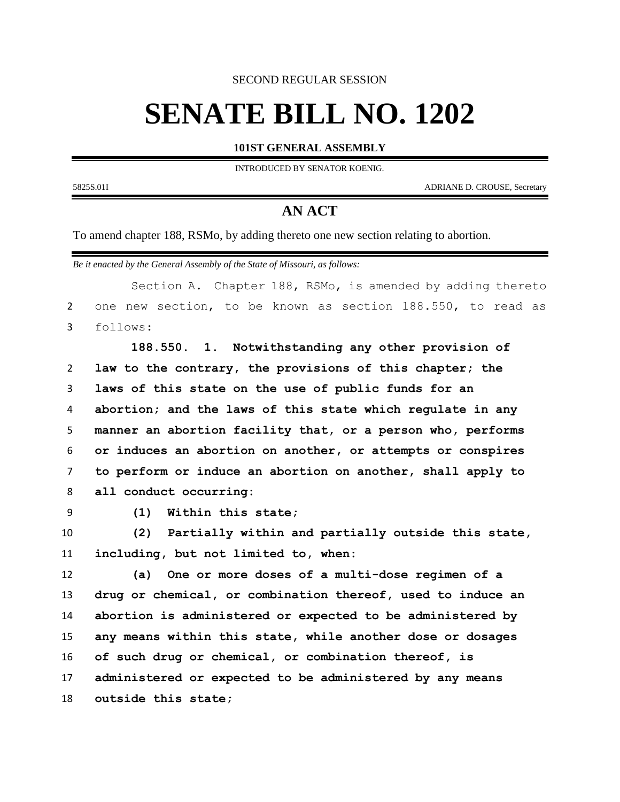SECOND REGULAR SESSION

## **SENATE BILL NO. 1202**

## **101ST GENERAL ASSEMBLY**

INTRODUCED BY SENATOR KOENIG.

5825S.01I ADRIANE D. CROUSE, Secretary

## **AN ACT**

To amend chapter 188, RSMo, by adding thereto one new section relating to abortion.

*Be it enacted by the General Assembly of the State of Missouri, as follows:*

Section A. Chapter 188, RSMo, is amended by adding thereto one new section, to be known as section 188.550, to read as follows:

 **188.550. 1. Notwithstanding any other provision of law to the contrary, the provisions of this chapter; the laws of this state on the use of public funds for an abortion; and the laws of this state which regulate in any manner an abortion facility that, or a person who, performs or induces an abortion on another, or attempts or conspires to perform or induce an abortion on another, shall apply to all conduct occurring:**

**(1) Within this state;**

 **(2) Partially within and partially outside this state, including, but not limited to, when:**

 **(a) One or more doses of a multi-dose regimen of a drug or chemical, or combination thereof, used to induce an abortion is administered or expected to be administered by any means within this state, while another dose or dosages of such drug or chemical, or combination thereof, is administered or expected to be administered by any means outside this state;**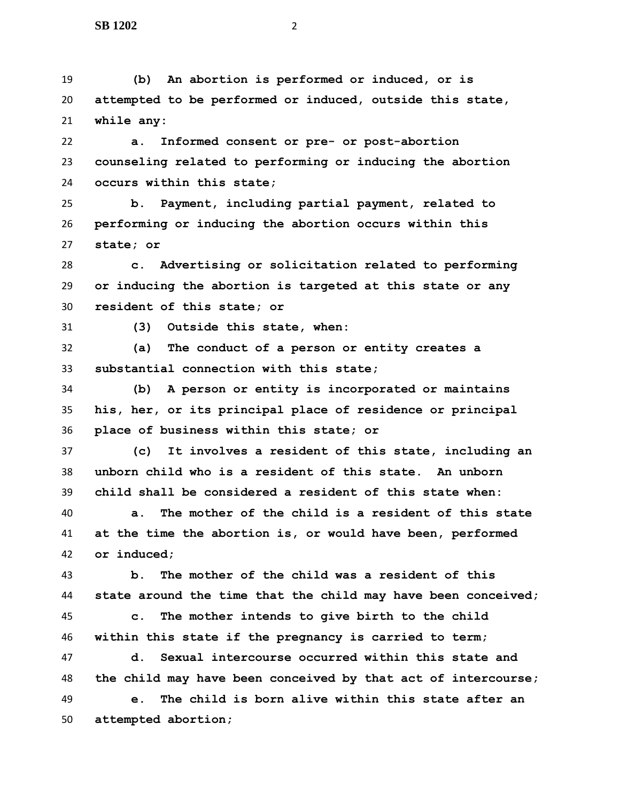**(b) An abortion is performed or induced, or is attempted to be performed or induced, outside this state, while any:**

 **a. Informed consent or pre- or post-abortion counseling related to performing or inducing the abortion occurs within this state;**

 **b. Payment, including partial payment, related to performing or inducing the abortion occurs within this state; or**

 **c. Advertising or solicitation related to performing or inducing the abortion is targeted at this state or any resident of this state; or**

**(3) Outside this state, when:**

 **(a) The conduct of a person or entity creates a substantial connection with this state;**

 **(b) A person or entity is incorporated or maintains his, her, or its principal place of residence or principal place of business within this state; or**

 **(c) It involves a resident of this state, including an unborn child who is a resident of this state. An unborn child shall be considered a resident of this state when:**

 **a. The mother of the child is a resident of this state at the time the abortion is, or would have been, performed or induced;**

 **b. The mother of the child was a resident of this state around the time that the child may have been conceived; c. The mother intends to give birth to the child within this state if the pregnancy is carried to term;**

 **d. Sexual intercourse occurred within this state and the child may have been conceived by that act of intercourse; e. The child is born alive within this state after an** 

**attempted abortion;**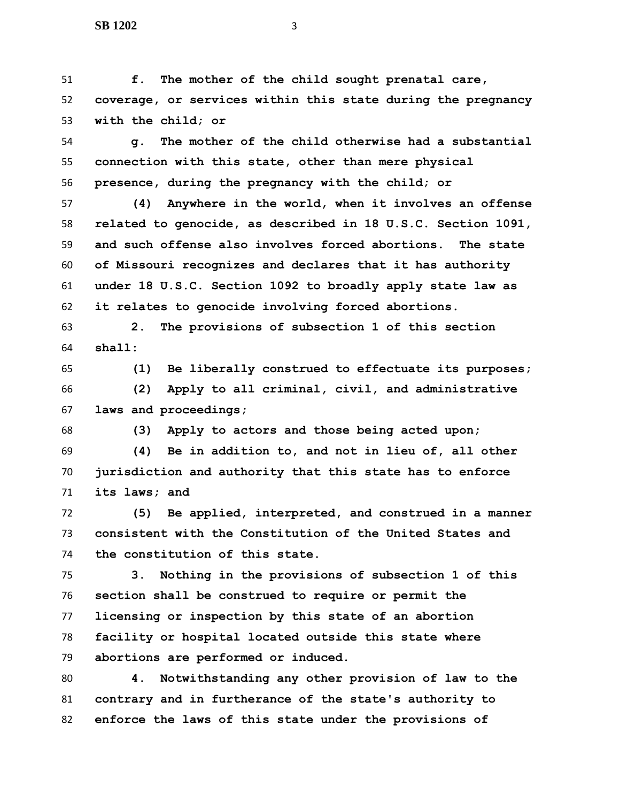**f. The mother of the child sought prenatal care, coverage, or services within this state during the pregnancy with the child; or**

 **g. The mother of the child otherwise had a substantial connection with this state, other than mere physical presence, during the pregnancy with the child; or**

 **(4) Anywhere in the world, when it involves an offense related to genocide, as described in 18 U.S.C. Section 1091, and such offense also involves forced abortions. The state of Missouri recognizes and declares that it has authority under 18 U.S.C. Section 1092 to broadly apply state law as it relates to genocide involving forced abortions.**

 **2. The provisions of subsection 1 of this section shall:**

 **(1) Be liberally construed to effectuate its purposes; (2) Apply to all criminal, civil, and administrative laws and proceedings;**

**(3) Apply to actors and those being acted upon;**

 **(4) Be in addition to, and not in lieu of, all other jurisdiction and authority that this state has to enforce its laws; and**

 **(5) Be applied, interpreted, and construed in a manner consistent with the Constitution of the United States and the constitution of this state.**

 **3. Nothing in the provisions of subsection 1 of this section shall be construed to require or permit the licensing or inspection by this state of an abortion facility or hospital located outside this state where abortions are performed or induced.**

 **4. Notwithstanding any other provision of law to the contrary and in furtherance of the state's authority to enforce the laws of this state under the provisions of**